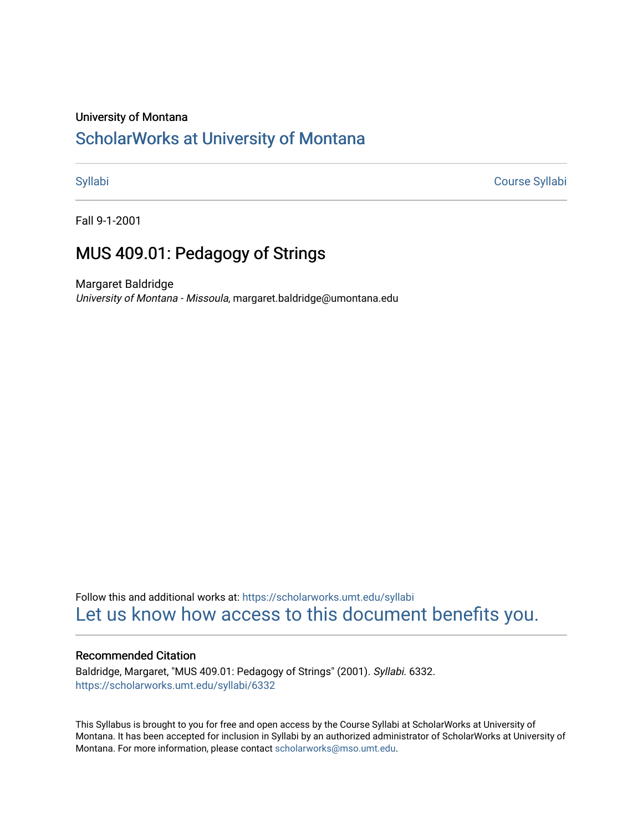#### University of Montana

# [ScholarWorks at University of Montana](https://scholarworks.umt.edu/)

[Syllabi](https://scholarworks.umt.edu/syllabi) [Course Syllabi](https://scholarworks.umt.edu/course_syllabi) 

Fall 9-1-2001

## MUS 409.01: Pedagogy of Strings

Margaret Baldridge University of Montana - Missoula, margaret.baldridge@umontana.edu

Follow this and additional works at: [https://scholarworks.umt.edu/syllabi](https://scholarworks.umt.edu/syllabi?utm_source=scholarworks.umt.edu%2Fsyllabi%2F6332&utm_medium=PDF&utm_campaign=PDFCoverPages)  [Let us know how access to this document benefits you.](https://goo.gl/forms/s2rGfXOLzz71qgsB2) 

### Recommended Citation

Baldridge, Margaret, "MUS 409.01: Pedagogy of Strings" (2001). Syllabi. 6332. [https://scholarworks.umt.edu/syllabi/6332](https://scholarworks.umt.edu/syllabi/6332?utm_source=scholarworks.umt.edu%2Fsyllabi%2F6332&utm_medium=PDF&utm_campaign=PDFCoverPages)

This Syllabus is brought to you for free and open access by the Course Syllabi at ScholarWorks at University of Montana. It has been accepted for inclusion in Syllabi by an authorized administrator of ScholarWorks at University of Montana. For more information, please contact [scholarworks@mso.umt.edu.](mailto:scholarworks@mso.umt.edu)